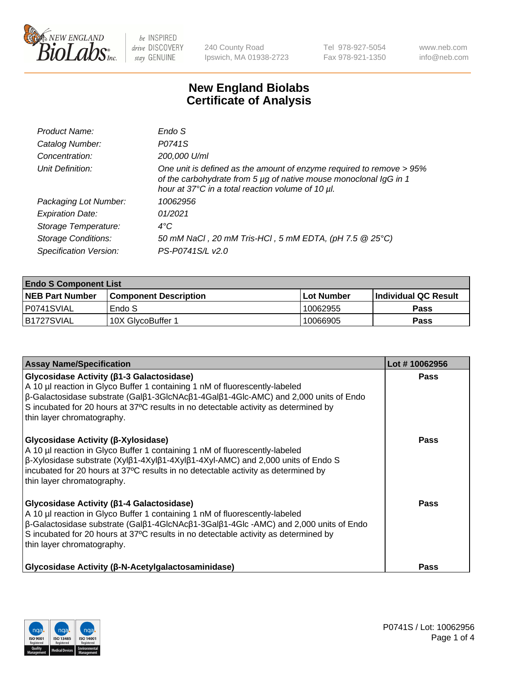

240 County Road Ipswich, MA 01938-2723 Tel 978-927-5054 Fax 978-921-1350 www.neb.com info@neb.com

## **New England Biolabs Certificate of Analysis**

| Endo S                                                                                                                                                                                         |
|------------------------------------------------------------------------------------------------------------------------------------------------------------------------------------------------|
| P0741S                                                                                                                                                                                         |
| 200,000 U/ml                                                                                                                                                                                   |
| One unit is defined as the amount of enzyme required to remove > 95%<br>of the carbohydrate from 5 µg of native mouse monoclonal IgG in 1<br>hour at 37°C in a total reaction volume of 10 µl. |
| 10062956                                                                                                                                                                                       |
| 01/2021                                                                                                                                                                                        |
| $4^{\circ}$ C                                                                                                                                                                                  |
| 50 mM NaCl, 20 mM Tris-HCl, 5 mM EDTA, (pH 7.5 @ 25°C)                                                                                                                                         |
| PS-P0741S/L v2.0                                                                                                                                                                               |
|                                                                                                                                                                                                |

| <b>Endo S Component List</b> |                              |              |                       |  |  |
|------------------------------|------------------------------|--------------|-----------------------|--|--|
| <b>NEB Part Number</b>       | <b>Component Description</b> | l Lot Number | ∣Individual QC Result |  |  |
| I P0741SVIAL                 | Endo S                       | 10062955     | Pass                  |  |  |
| IB1727SVIAL                  | 10X GlycoBuffer 1            | 10066905     | Pass                  |  |  |

| <b>Assay Name/Specification</b>                                                                                                                                                                                                                                                                                                                                      | Lot #10062956 |
|----------------------------------------------------------------------------------------------------------------------------------------------------------------------------------------------------------------------------------------------------------------------------------------------------------------------------------------------------------------------|---------------|
| Glycosidase Activity (β1-3 Galactosidase)<br>A 10 µl reaction in Glyco Buffer 1 containing 1 nM of fluorescently-labeled<br>$\beta$ -Galactosidase substrate (Gal $\beta$ 1-3GlcNAc $\beta$ 1-4Gal $\beta$ 1-4Glc-AMC) and 2,000 units of Endo<br>S incubated for 20 hours at 37°C results in no detectable activity as determined by<br>thin layer chromatography.  | Pass          |
| Glycosidase Activity (β-Xylosidase)<br>A 10 µl reaction in Glyco Buffer 1 containing 1 nM of fluorescently-labeled<br>$\beta$ -Xylosidase substrate (Xyl $\beta$ 1-4Xyl $\beta$ 1-4Xyl $\beta$ 1-4Xyl-AMC) and 2,000 units of Endo S<br>incubated for 20 hours at 37°C results in no detectable activity as determined by<br>thin layer chromatography.              | <b>Pass</b>   |
| Glycosidase Activity (β1-4 Galactosidase)<br>A 10 µl reaction in Glyco Buffer 1 containing 1 nM of fluorescently-labeled<br>$\beta$ -Galactosidase substrate (Gal $\beta$ 1-4GlcNAc $\beta$ 1-3Gal $\beta$ 1-4Glc -AMC) and 2,000 units of Endo<br>S incubated for 20 hours at 37°C results in no detectable activity as determined by<br>thin layer chromatography. | Pass          |
| Glycosidase Activity (β-N-Acetylgalactosaminidase)                                                                                                                                                                                                                                                                                                                   | Pass          |

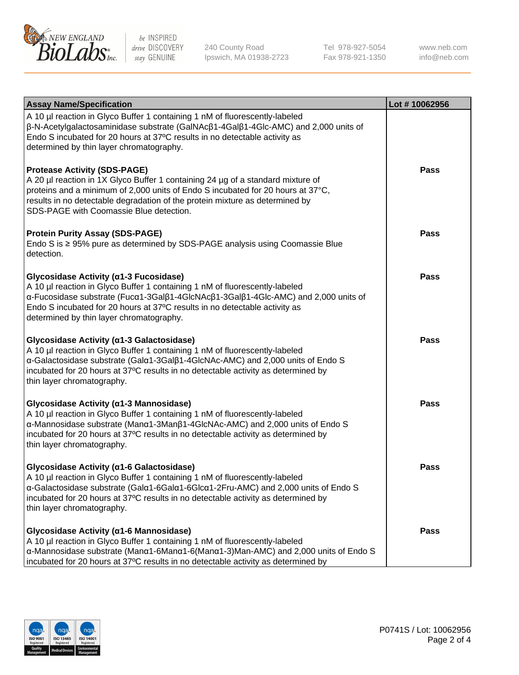

240 County Road Ipswich, MA 01938-2723 Tel 978-927-5054 Fax 978-921-1350

www.neb.com info@neb.com

| <b>Assay Name/Specification</b>                                                                                                                                                                                                                                                                                                       | Lot #10062956 |
|---------------------------------------------------------------------------------------------------------------------------------------------------------------------------------------------------------------------------------------------------------------------------------------------------------------------------------------|---------------|
| A 10 µl reaction in Glyco Buffer 1 containing 1 nM of fluorescently-labeled<br>β-N-Acetylgalactosaminidase substrate (GalNAcβ1-4Galβ1-4Glc-AMC) and 2,000 units of<br>Endo S incubated for 20 hours at 37°C results in no detectable activity as<br>determined by thin layer chromatography.                                          |               |
| <b>Protease Activity (SDS-PAGE)</b><br>A 20 µl reaction in 1X Glyco Buffer 1 containing 24 µg of a standard mixture of<br>proteins and a minimum of 2,000 units of Endo S incubated for 20 hours at 37°C,<br>results in no detectable degradation of the protein mixture as determined by<br>SDS-PAGE with Coomassie Blue detection.  | <b>Pass</b>   |
| <b>Protein Purity Assay (SDS-PAGE)</b><br>Endo S is ≥ 95% pure as determined by SDS-PAGE analysis using Coomassie Blue<br>detection.                                                                                                                                                                                                  | <b>Pass</b>   |
| Glycosidase Activity (α1-3 Fucosidase)<br>A 10 µl reaction in Glyco Buffer 1 containing 1 nM of fluorescently-labeled<br>α-Fucosidase substrate (Fucα1-3Galβ1-4GlcNAcβ1-3Galβ1-4Glc-AMC) and 2,000 units of<br>Endo S incubated for 20 hours at 37°C results in no detectable activity as<br>determined by thin layer chromatography. | <b>Pass</b>   |
| Glycosidase Activity (α1-3 Galactosidase)<br>A 10 µl reaction in Glyco Buffer 1 containing 1 nM of fluorescently-labeled<br>α-Galactosidase substrate (Galα1-3Galβ1-4GlcNAc-AMC) and 2,000 units of Endo S<br>incubated for 20 hours at 37°C results in no detectable activity as determined by<br>thin layer chromatography.         | <b>Pass</b>   |
| Glycosidase Activity (α1-3 Mannosidase)<br>A 10 µl reaction in Glyco Buffer 1 containing 1 nM of fluorescently-labeled<br>α-Mannosidase substrate (Manα1-3Manβ1-4GlcNAc-AMC) and 2,000 units of Endo S<br>incubated for 20 hours at 37°C results in no detectable activity as determined by<br>thin layer chromatography.             | <b>Pass</b>   |
| Glycosidase Activity (a1-6 Galactosidase)<br>A 10 µl reaction in Glyco Buffer 1 containing 1 nM of fluorescently-labeled<br>α-Galactosidase substrate (Galα1-6Galα1-6Glcα1-2Fru-AMC) and 2,000 units of Endo S<br>incubated for 20 hours at 37°C results in no detectable activity as determined by<br>thin layer chromatography.     | <b>Pass</b>   |
| Glycosidase Activity (α1-6 Mannosidase)<br>A 10 µl reaction in Glyco Buffer 1 containing 1 nM of fluorescently-labeled<br>α-Mannosidase substrate (Μanα1-6Μanα1-6(Μanα1-3)Man-AMC) and 2,000 units of Endo S<br>incubated for 20 hours at 37°C results in no detectable activity as determined by                                     | <b>Pass</b>   |

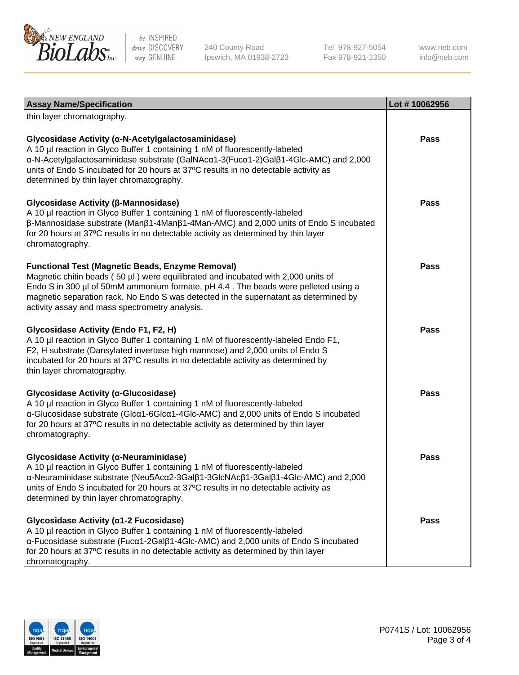

240 County Road Ipswich, MA 01938-2723 Tel 978-927-5054 Fax 978-921-1350

www.neb.com info@neb.com

| <b>Assay Name/Specification</b>                                                                                                                                                                                                                                                                                                                                              | Lot #10062956 |
|------------------------------------------------------------------------------------------------------------------------------------------------------------------------------------------------------------------------------------------------------------------------------------------------------------------------------------------------------------------------------|---------------|
| thin layer chromatography.                                                                                                                                                                                                                                                                                                                                                   |               |
| Glycosidase Activity (α-N-Acetylgalactosaminidase)<br>A 10 µl reaction in Glyco Buffer 1 containing 1 nM of fluorescently-labeled<br>α-N-Acetylgalactosaminidase substrate (GalNAcα1-3(Fucα1-2)Galβ1-4Glc-AMC) and 2,000<br>units of Endo S incubated for 20 hours at 37°C results in no detectable activity as<br>determined by thin layer chromatography.                  | Pass          |
| Glycosidase Activity (β-Mannosidase)<br>A 10 µl reaction in Glyco Buffer 1 containing 1 nM of fluorescently-labeled<br>β-Mannosidase substrate (Manβ1-4Manβ1-4Man-AMC) and 2,000 units of Endo S incubated<br>for 20 hours at 37°C results in no detectable activity as determined by thin layer<br>chromatography.                                                          | <b>Pass</b>   |
| <b>Functional Test (Magnetic Beads, Enzyme Removal)</b><br>Magnetic chitin beads (50 µl) were equilibrated and incubated with 2,000 units of<br>Endo S in 300 µl of 50mM ammonium formate, pH 4.4. The beads were pelleted using a<br>magnetic separation rack. No Endo S was detected in the supernatant as determined by<br>activity assay and mass spectrometry analysis. | <b>Pass</b>   |
| Glycosidase Activity (Endo F1, F2, H)<br>A 10 µl reaction in Glyco Buffer 1 containing 1 nM of fluorescently-labeled Endo F1,<br>F2, H substrate (Dansylated invertase high mannose) and 2,000 units of Endo S<br>incubated for 20 hours at 37°C results in no detectable activity as determined by<br>thin layer chromatography.                                            | Pass          |
| Glycosidase Activity (α-Glucosidase)<br>A 10 µl reaction in Glyco Buffer 1 containing 1 nM of fluorescently-labeled<br>α-Glucosidase substrate (Glcα1-6Glcα1-4Glc-AMC) and 2,000 units of Endo S incubated<br>for 20 hours at 37°C results in no detectable activity as determined by thin layer<br>chromatography.                                                          | <b>Pass</b>   |
| Glycosidase Activity (α-Neuraminidase)<br>A 10 µl reaction in Glyco Buffer 1 containing 1 nM of fluorescently-labeled<br>α-Neuraminidase substrate (Neu5Acα2-3Galβ1-3GlcNAcβ1-3Galβ1-4Glc-AMC) and 2,000<br>units of Endo S incubated for 20 hours at 37°C results in no detectable activity as<br>determined by thin layer chromatography.                                  | Pass          |
| Glycosidase Activity (α1-2 Fucosidase)<br>A 10 µl reaction in Glyco Buffer 1 containing 1 nM of fluorescently-labeled<br>α-Fucosidase substrate (Fucα1-2Galβ1-4Glc-AMC) and 2,000 units of Endo S incubated<br>for 20 hours at 37°C results in no detectable activity as determined by thin layer<br>chromatography.                                                         | Pass          |